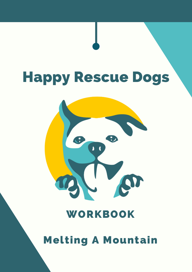# Happy Rescue Dogs



## WORKBOOK

Melting A Mountain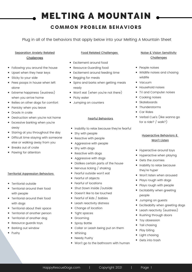## MELTING A MOUNTAIN

## **COMMON PROBLEM BEHAVIORS**

Plug in all of the behaviors that apply below into your Melting A Mountain Sheet

### Separation Anxiety Related

#### **Challenges**

- Following you around the house
- Upset when they hear keys
- Sticky to your side
- Pees poops in house when left alone
- Extreme happiness (eustress) when you arrive home
- Relies on other dogs for comfort
- Panicky when you leave
- Drools in crate
- Destruction when you're not home
- Excessive barking when you're away
- Staring at you throughout the day
- Difficult time staying with someone else or walking away from you
- Breaks out of crate
- Pawing for attention

#### Territorial Aggression Behaviors

- Territorial outside
- Territorial around their food with people
- Territorial around their food with dogs
- Territorial about their space
- Territorial of another person
- Territorial of another dog
- Resource guards toys
- Barking out window
- Pushy

#### Food Related Challenges

- Excitement around food
- Resource Guarding food
- Excitement around feeding time
- Begging for meals
- Spins and barks when getting meals ready
- Won't eat (when you're not there)
- Picky eater
- Jumping on counters

#### Fearful Behaviors

- Inability to relax because they're fearful
- Shy with people
- Reactive with people
- Aggressive with people
- Shy with dogs
- Reactive with dogs
- Aggressive with dogs
- Dislikes certain parts of the house
- Nervous licking / shaking
- Fearful outside won't eat
- Fearful of objects
- Fearful of locations
- Shut Down inside /outside  $\bullet$
- Doesn't like to be touched
- Fearful of kids / babies
- Leash reactivity distress
- Change of location
- Tight spaces
- Grooming
- Spray Bottle
- Collar or Leash being put on them
- Whining
- Needy Pushy
- Won't go to the bathroom with human

#### Noise & Vision Sensitivity Challenges

- People noises
- Wildlife noises and chasing wildlife
- Vacuum
- Household noises
- TV and Computer noises
- Cooking noises
- Skateboards
- Thunderstorms
- Car Rides
- Verbal Cue's (like wanna go for a ride? / walk?)

#### Hyperactive Behaviors & Won't Listen

- Hyperactive around toys
- Hyperactive when playing
- Gets the zoomies
- Inability to relax because they're hyper
- Won't listen when aroused
- Plays rough with dogs
- Plays rough with people
- Excitability when greeting people
- Jumping on quests
- Exciteabilty when greeting dogs
- Leash reactivity (eustress)
- Rushing through doors
- Toy obsession
- Tail chasing
- Play biting
- Light chasing
- Gets into trash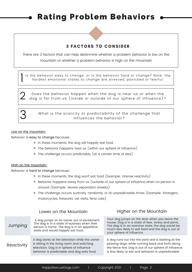## Rating Problem Behaviors

### **3 FACTORS TO CONSIDER**

There are 3 factors that can help determine whether a problem behavior is low on the mountain or whether a problem behavior is high on the mountain

Is the behavior easy to change, or is the behavior hard to change? Note: the hardest emotional states to change are stressed, panicked or fearful.  $\frac{1}{1}$ 

Does the behavior happen when the dog is near us or when the 2 Does the behavior happen when the dog is near us or when the<br>dog is far from us (inside or outside of our sphere of influence)?



What is the scarcity or predictability of the challenge that influences the behavior?

#### Low on the mountain:

Behavior is easy to change because…

- <sup>o</sup> In these moments, the dog will happily eat food
- The behavior happens near us (within our sphere of influence)
- The challenge occurs predictably (at a certain time of day)

#### High on the mountain:

Behavior is hard to change because…

- In these moments, the dog won't eat food (Example: intense reactivity)
- Behavior happens away from us (outside of our sphere of influence when no person is around (Example: severe separation anxiety)
- The challenge occurs scarcely, randomly, or at unpredictable times (Example: Strangers, motorcycles, fireworks, vet visits, feral cats)

|            | Lower on the Mountain                                                                                                                                                                  | Higher on the Mountain                                                                                                                                                                                                                       |
|------------|----------------------------------------------------------------------------------------------------------------------------------------------------------------------------------------|----------------------------------------------------------------------------------------------------------------------------------------------------------------------------------------------------------------------------------------------|
| Jumping    | A dog jumps on its owner out of excitement.<br>The dog is in a state of eustress when their<br>person is home. The dog is in an appetitive<br>state and would happily eat food.        | Your dog jumps on the door when you leave the<br>house. Dog is in a state of fear, stress and panic.<br>The dog is in an aversive state, the dog would be<br>much less likely to eat food and the dog is out of<br>your sphere of influence. |
| Reactivity | A dog barks at the television while the owner<br>is sitting in the living room and watching<br>television. Dog is in sphere of influence<br>behavior is predictable and dog eats food. | A dog runs out into the yard and is barking at the<br>passing dogs, while running back and forth along<br>the fence line. Dog is out of our sphere of influence,<br>is less likely to eat and behavior is unpredictable.                     |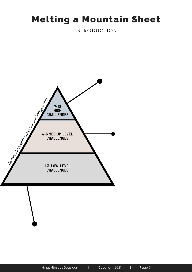## Melting a Mountain Sheet

**INTRODUCTION** 

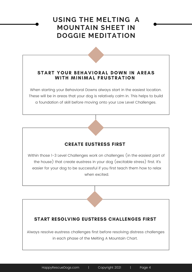## **USING THE MELTING A MOUNTAIN SHEET IN DOGGIE MEDITATION**

### START YOUR BEHAVIORAL DOWN IN AREAS WITH MINIMAL FRUSTRATION

When starting your Behavioral Downs always start in the easiest location. These will be in areas that your dog is relatively calm in. This helps to build a foundation of skill before moving onto your Low Level Challenges.

## CREATE EUSTRESS FIRST

Within those 1-3 Level Challenges work on challenges (in the easiest part of the house) that create eustress in your dog (excitable stress) first. It's easier for your dog to be successful if you first teach them how to relax when excited.

## START RESOLVING EUSTRESS CHALLENGES FIRST

Always resolve eustress challenges first before resolving distress challenges in each phase of the Melting A Mountain Chart.